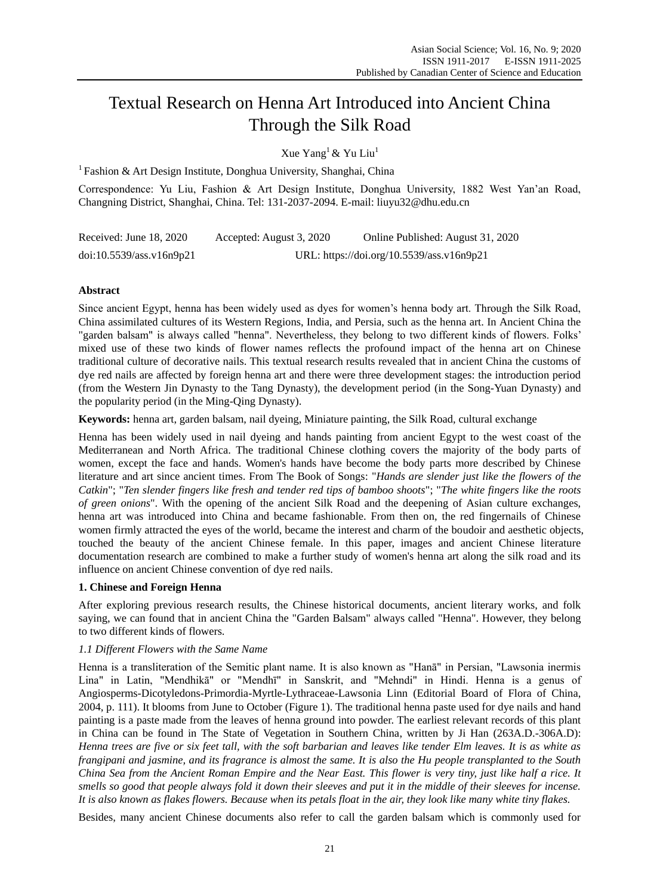# Textual Research on Henna Art Introduced into Ancient China Through the Silk Road

Xue Yang<sup>1</sup> & Yu Liu<sup>1</sup>

<sup>1</sup> Fashion & Art Design Institute, Donghua University, Shanghai, China

Correspondence: Yu Liu, Fashion & Art Design Institute, Donghua University, 1882 West Yan'an Road, Changning District, Shanghai, China. Tel: 131-2037-2094. E-mail: liuyu32@dhu.edu.cn

| Received: June $18, 2020$ | Accepted: August 3, 2020                  | Online Published: August 31, 2020 |
|---------------------------|-------------------------------------------|-----------------------------------|
| doi:10.5539/ass.v16n9p21  | URL: https://doi.org/10.5539/ass.v16n9p21 |                                   |

## **Abstract**

Since ancient Egypt, henna has been widely used as dyes for women's henna body art. Through the Silk Road, China assimilated cultures of its Western Regions, India, and Persia, such as the henna art. In Ancient China the "garden balsam" is always called "henna". Nevertheless, they belong to two different kinds of flowers. Folks' mixed use of these two kinds of flower names reflects the profound impact of the henna art on Chinese traditional culture of decorative nails. This textual research results revealed that in ancient China the customs of dye red nails are affected by foreign henna art and there were three development stages: the introduction period (from the Western Jin Dynasty to the Tang Dynasty), the development period (in the Song-Yuan Dynasty) and the popularity period (in the Ming-Qing Dynasty).

**Keywords:** henna art, garden balsam, nail dyeing, Miniature painting, the Silk Road, cultural exchange

Henna has been widely used in nail dyeing and hands painting from ancient Egypt to the west coast of the Mediterranean and North Africa. The traditional Chinese clothing covers the majority of the body parts of women, except the face and hands. Women's hands have become the body parts more described by Chinese literature and art since ancient times. From The Book of Songs: "*Hands are slender just like the flowers of the Catkin*"; "*Ten slender fingers like fresh and tender red tips of bamboo shoots*"; "*The white fingers like the roots of green onions*". With the opening of the ancient Silk Road and the deepening of Asian culture exchanges, henna art was introduced into China and became fashionable. From then on, the red fingernails of Chinese women firmly attracted the eyes of the world, became the interest and charm of the boudoir and aesthetic objects, touched the beauty of the ancient Chinese female. In this paper, images and ancient Chinese literature documentation research are combined to make a further study of women's henna art along the silk road and its influence on ancient Chinese convention of dye red nails.

## **1. Chinese and Foreign Henna**

After exploring previous research results, the Chinese historical documents, ancient literary works, and folk saying, we can found that in ancient China the "Garden Balsam" always called "Henna". However, they belong to two different kinds of flowers.

## *1.1 Different Flowers with the Same Name*

Henna is a transliteration of the Semitic plant name. It is also known as "Hanā" in Persian, "Lawsonia inermis Lina" in Latin, "Mendhikā" or "Mendhī" in Sanskrit, and "Mehndi" in Hindi. Henna is a genus of Angiosperms-Dicotyledons-Primordia-Myrtle-Lythraceae-Lawsonia Linn (Editorial Board of Flora of China, 2004, p. 111). It blooms from June to October (Figure 1). The traditional henna paste used for dye nails and hand painting is a paste made from the leaves of henna ground into powder. The earliest relevant records of this plant in China can be found in The State of Vegetation in Southern China, written by Ji Han (263A.D.-306A.D): *Henna trees are five or six feet tall, with the soft barbarian and leaves like tender Elm leaves. It is as white as frangipani and jasmine, and its fragrance is almost the same. It is also the Hu people transplanted to the South China Sea from the Ancient Roman Empire and the Near East. This flower is very tiny, just like half a rice. It smells so good that people always fold it down their sleeves and put it in the middle of their sleeves for incense. It is also known as flakes flowers. Because when its petals float in the air, they look like many white tiny flakes.*

Besides, many ancient Chinese documents also refer to call the garden balsam which is commonly used for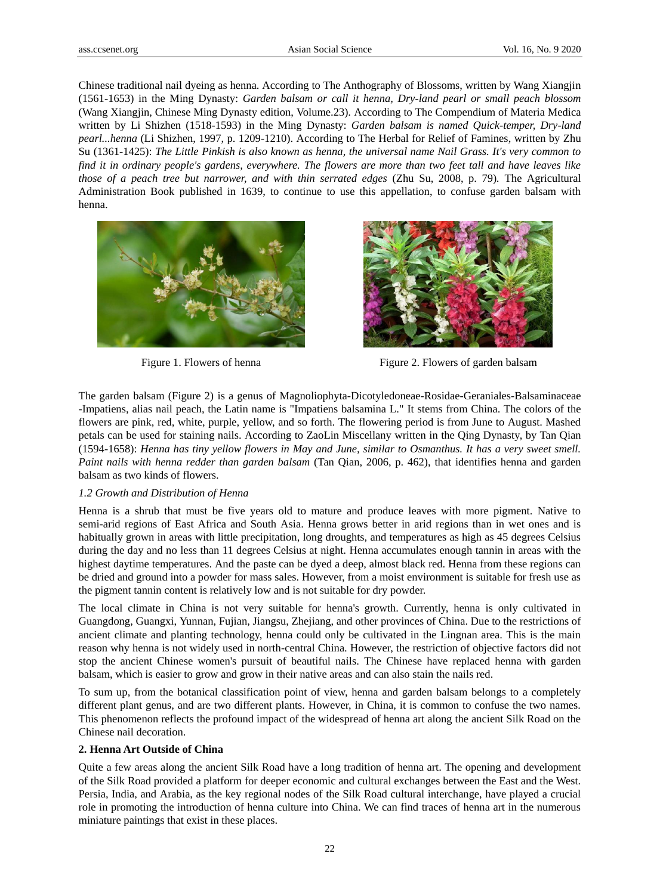Chinese traditional nail dyeing as henna. According to The Anthography of Blossoms, written by Wang Xiangjin (1561-1653) in the Ming Dynasty: *Garden balsam or call it henna, Dry-land pearl or small peach blossom* (Wang Xiangjin, Chinese Ming Dynasty edition, Volume.23)*.* According to The Compendium of Materia Medica written by Li Shizhen (1518-1593) in the Ming Dynasty: *Garden balsam is named Quick-temper, Dry-land pearl...henna* (Li Shizhen, 1997, p. 1209-1210). According to The Herbal for Relief of Famines, written by Zhu Su (1361-1425): *The Little Pinkish is also known as henna, the universal name Nail Grass. It's very common to find it in ordinary people's gardens, everywhere. The flowers are more than two feet tall and have leaves like those of a peach tree but narrower, and with thin serrated edges* (Zhu Su, 2008, p. 79)*.* The Agricultural Administration Book published in 1639, to continue to use this appellation, to confuse garden balsam with henna.





Figure 1. Flowers of henna Figure 2. Flowers of garden balsam

The garden balsam (Figure 2) is a genus of Magnoliophyta-Dicotyledoneae-Rosidae-Geraniales-Balsaminaceae -Impatiens, alias nail peach, the Latin name is "Impatiens balsamina L." It stems from China. The colors of the flowers are pink, red, white, purple, yellow, and so forth. The flowering period is from June to August. Mashed petals can be used for staining nails. According to ZaoLin Miscellany written in the Qing Dynasty, by Tan Qian (1594-1658): *Henna has tiny yellow flowers in May and June, similar to Osmanthus. It has a very sweet smell. Paint nails with henna redder than garden balsam* (Tan Qian, 2006, p. 462), that identifies henna and garden balsam as two kinds of flowers.

#### *1.2 Growth and Distribution of Henna*

Henna is a shrub that must be five years old to mature and produce leaves with more pigment. Native to semi-arid regions of East Africa and South Asia. Henna grows better in arid regions than in wet ones and is habitually grown in areas with little precipitation, long droughts, and temperatures as high as 45 degrees Celsius during the day and no less than 11 degrees Celsius at night. Henna accumulates enough tannin in areas with the highest daytime temperatures. And the paste can be dyed a deep, almost black red. Henna from these regions can be dried and ground into a powder for mass sales. However, from a moist environment is suitable for fresh use as the pigment tannin content is relatively low and is not suitable for dry powder.

The local climate in China is not very suitable for henna's growth. Currently, henna is only cultivated in Guangdong, Guangxi, Yunnan, Fujian, Jiangsu, Zhejiang, and other provinces of China. Due to the restrictions of ancient climate and planting technology, henna could only be cultivated in the Lingnan area. This is the main reason why henna is not widely used in north-central China. However, the restriction of objective factors did not stop the ancient Chinese women's pursuit of beautiful nails. The Chinese have replaced henna with garden balsam, which is easier to grow and grow in their native areas and can also stain the nails red.

To sum up, from the botanical classification point of view, henna and garden balsam belongs to a completely different plant genus, and are two different plants. However, in China, it is common to confuse the two names. This phenomenon reflects the profound impact of the widespread of henna art along the ancient Silk Road on the Chinese nail decoration.

#### **2. Henna Art Outside of China**

Quite a few areas along the ancient Silk Road have a long tradition of henna art. The opening and development of the Silk Road provided a platform for deeper economic and cultural exchanges between the East and the West. Persia, India, and Arabia, as the key regional nodes of the Silk Road cultural interchange, have played a crucial role in promoting the introduction of henna culture into China. We can find traces of henna art in the numerous miniature paintings that exist in these places.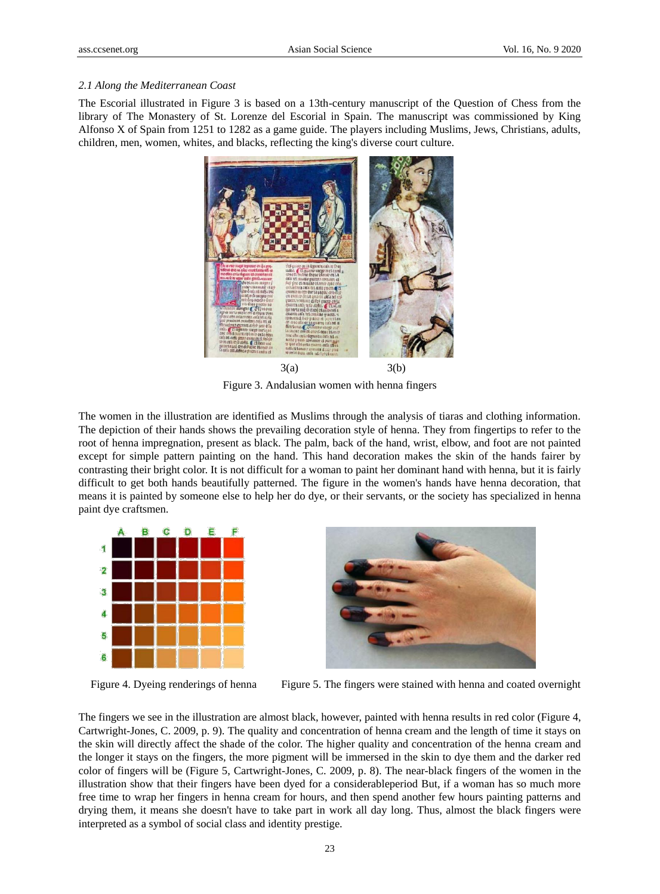#### *2.1 Along the Mediterranean Coast*

The Escorial illustrated in Figure 3 is based on a 13th-century manuscript of the Question of Chess from the library of The Monastery of St. Lorenze del Escorial in Spain. The manuscript was commissioned by King Alfonso X of Spain from 1251 to 1282 as a game guide. The players including Muslims, Jews, Christians, adults, children, men, women, whites, and blacks, reflecting the king's diverse court culture.



Figure 3. Andalusian women with henna fingers

The women in the illustration are identified as Muslims through the analysis of tiaras and clothing information. The depiction of their hands shows the prevailing decoration style of henna. They from fingertips to refer to the root of henna impregnation, present as black. The palm, back of the hand, wrist, elbow, and foot are not painted except for simple pattern painting on the hand. This hand decoration makes the skin of the hands fairer by contrasting their bright color. It is not difficult for a woman to paint her dominant hand with henna, but it is fairly difficult to get both hands beautifully patterned. The figure in the women's hands have henna decoration, that means it is painted by someone else to help her do dye, or their servants, or the society has specialized in henna paint dye craftsmen.





Figure 4. Dyeing renderings of henna Figure 5. The fingers were stained with henna and coated overnight

The fingers we see in the illustration are almost black, however, painted with henna results in red color (Figure 4, Cartwright-Jones, C. 2009, p. 9). The quality and concentration of henna cream and the length of time it stays on the skin will directly affect the shade of the color. The higher quality and concentration of the henna cream and the longer it stays on the fingers, the more pigment will be immersed in the skin to dye them and the darker red color of fingers will be (Figure 5, Cartwright-Jones, C. 2009, p. 8). The near-black fingers of the women in the illustration show that their fingers have been dyed for a considerableperiod But, if a woman has so much more free time to wrap her fingers in henna cream for hours, and then spend another few hours painting patterns and drying them, it means she doesn't have to take part in work all day long. Thus, almost the black fingers were interpreted as a symbol of social class and identity prestige.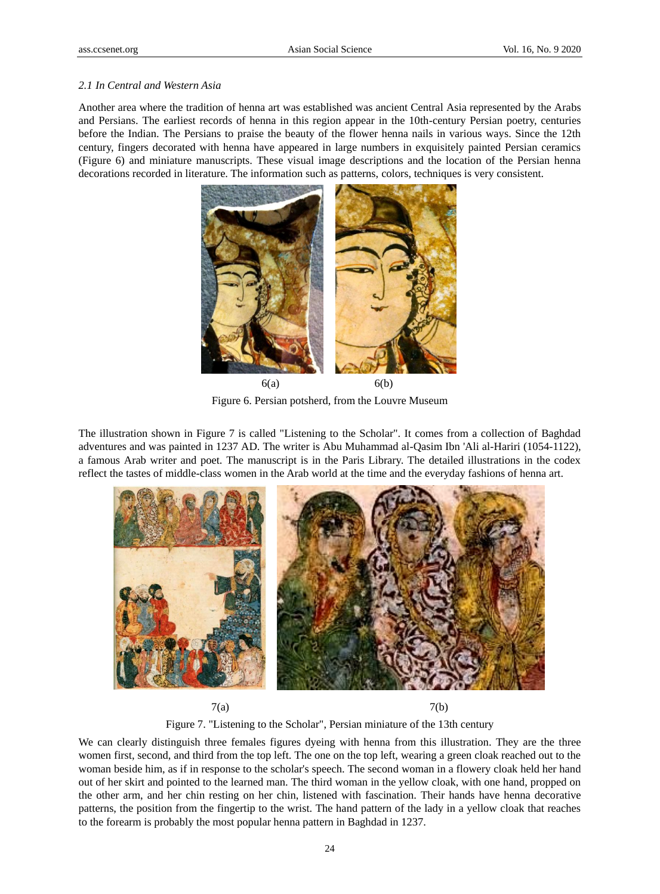### *2.1 In Central and Western Asia*

Another area where the tradition of henna art was established was ancient Central Asia represented by the Arabs and Persians. The earliest records of henna in this region appear in the 10th-century Persian poetry, centuries before the Indian. The Persians to praise the beauty of the flower henna nails in various ways. Since the 12th century, fingers decorated with henna have appeared in large numbers in exquisitely painted Persian ceramics (Figure 6) and miniature manuscripts. These visual image descriptions and the location of the Persian henna decorations recorded in literature. The information such as patterns, colors, techniques is very consistent.



Figure 6. Persian potsherd, from the Louvre Museum

The illustration shown in Figure 7 is called "Listening to the Scholar". It comes from a collection of Baghdad adventures and was painted in 1237 AD. The writer is Abu Muhammad al-Qasim Ibn 'Ali al-Hariri (1054-1122), a famous Arab writer and poet. The manuscript is in the Paris Library. The detailed illustrations in the codex reflect the tastes of middle-class women in the Arab world at the time and the everyday fashions of henna art.



 $7(a)$  7(b)

Figure 7. "Listening to the Scholar", Persian miniature of the 13th century

We can clearly distinguish three females figures dyeing with henna from this illustration. They are the three women first, second, and third from the top left. The one on the top left, wearing a green cloak reached out to the woman beside him, as if in response to the scholar's speech. The second woman in a flowery cloak held her hand out of her skirt and pointed to the learned man. The third woman in the yellow cloak, with one hand, propped on the other arm, and her chin resting on her chin, listened with fascination. Their hands have henna decorative patterns, the position from the fingertip to the wrist. The hand pattern of the lady in a yellow cloak that reaches to the forearm is probably the most popular henna pattern in Baghdad in 1237.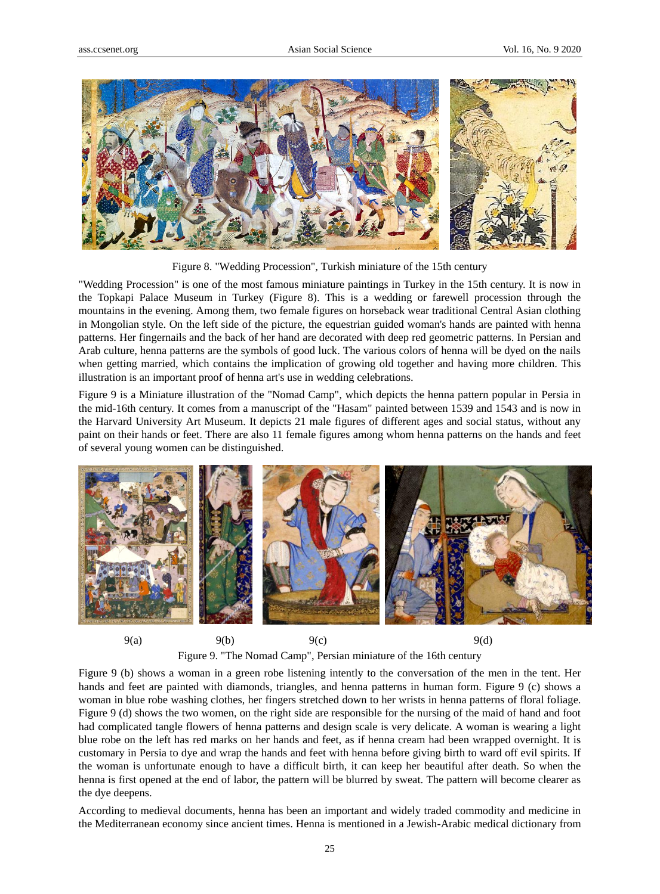

Figure 8. "Wedding Procession", Turkish miniature of the 15th century

"Wedding Procession" is one of the most famous miniature paintings in Turkey in the 15th century. It is now in the Topkapi Palace Museum in Turkey (Figure 8). This is a wedding or farewell procession through the mountains in the evening. Among them, two female figures on horseback wear traditional Central Asian clothing in Mongolian style. On the left side of the picture, the equestrian guided woman's hands are painted with henna patterns. Her fingernails and the back of her hand are decorated with deep red geometric patterns. In Persian and Arab culture, henna patterns are the symbols of good luck. The various colors of henna will be dyed on the nails when getting married, which contains the implication of growing old together and having more children. This illustration is an important proof of henna art's use in wedding celebrations.

Figure 9 is a Miniature illustration of the "Nomad Camp", which depicts the henna pattern popular in Persia in the mid-16th century. It comes from a manuscript of the "Hasam" painted between 1539 and 1543 and is now in the Harvard University Art Museum. It depicts 21 male figures of different ages and social status, without any paint on their hands or feet. There are also 11 female figures among whom henna patterns on the hands and feet of several young women can be distinguished.



Figure 9. "The Nomad Camp", Persian miniature of the 16th century

Figure 9 (b) shows a woman in a green robe listening intently to the conversation of the men in the tent. Her hands and feet are painted with diamonds, triangles, and henna patterns in human form. Figure 9 (c) shows a woman in blue robe washing clothes, her fingers stretched down to her wrists in henna patterns of floral foliage. Figure 9 (d) shows the two women, on the right side are responsible for the nursing of the maid of hand and foot had complicated tangle flowers of henna patterns and design scale is very delicate. A woman is wearing a light blue robe on the left has red marks on her hands and feet, as if henna cream had been wrapped overnight. It is customary in Persia to dye and wrap the hands and feet with henna before giving birth to ward off evil spirits. If the woman is unfortunate enough to have a difficult birth, it can keep her beautiful after death. So when the henna is first opened at the end of labor, the pattern will be blurred by sweat. The pattern will become clearer as the dye deepens.

According to medieval documents, henna has been an important and widely traded commodity and medicine in the Mediterranean economy since ancient times. Henna is mentioned in a Jewish-Arabic medical dictionary from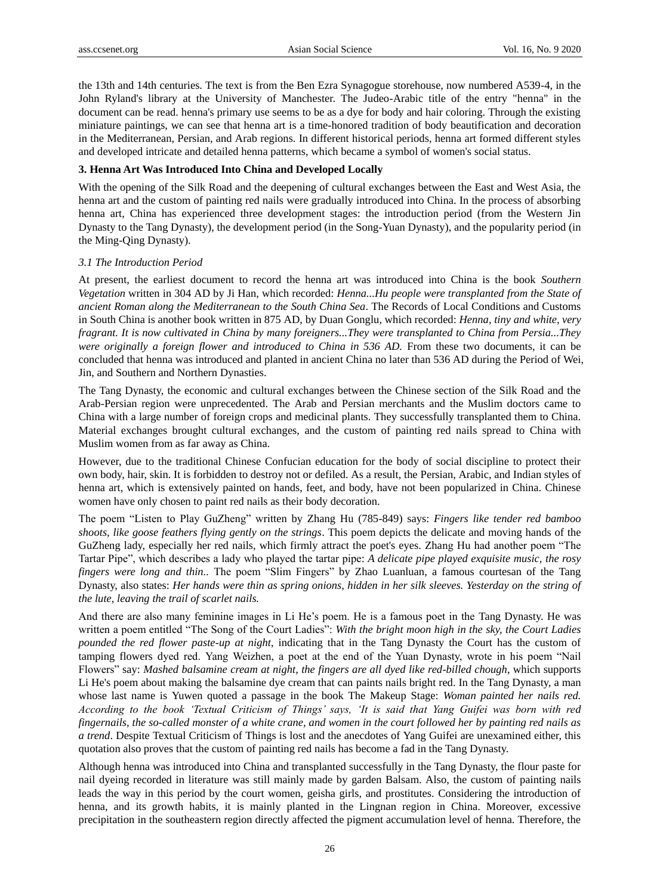the 13th and 14th centuries. The text is from the Ben Ezra Synagogue storehouse, now numbered A539-4, in the John Ryland's library at the University of Manchester. The Judeo-Arabic title of the entry "henna" in the document can be read. henna's primary use seems to be as a dye for body and hair coloring. Through the existing miniature paintings, we can see that henna art is a time-honored tradition of body beautification and decoration in the Mediterranean, Persian, and Arab regions. In different historical periods, henna art formed different styles and developed intricate and detailed henna patterns, which became a symbol of women's social status.

#### **3. Henna Art Was Introduced Into China and Developed Locally**

With the opening of the Silk Road and the deepening of cultural exchanges between the East and West Asia, the henna art and the custom of painting red nails were gradually introduced into China. In the process of absorbing henna art, China has experienced three development stages: the introduction period (from the Western Jin Dynasty to the Tang Dynasty), the development period (in the Song-Yuan Dynasty), and the popularity period (in the Ming-Qing Dynasty).

#### *3.1 The Introduction Period*

At present, the earliest document to record the henna art was introduced into China is the book *Southern Vegetation* written in 304 AD by Ji Han, which recorded: *Henna...Hu people were transplanted from the State of ancient Roman along the Mediterranean to the South China Sea*. The Records of Local Conditions and Customs in South China is another book written in 875 AD, by Duan Gonglu, which recorded: *Henna, tiny and white, very fragrant. It is now cultivated in China by many foreigners...They were transplanted to China from Persia...They were originally a foreign flower and introduced to China in 536 AD.* From these two documents, it can be concluded that henna was introduced and planted in ancient China no later than 536 AD during the Period of Wei, Jin, and Southern and Northern Dynasties.

The Tang Dynasty, the economic and cultural exchanges between the Chinese section of the Silk Road and the Arab-Persian region were unprecedented. The Arab and Persian merchants and the Muslim doctors came to China with a large number of foreign crops and medicinal plants. They successfully transplanted them to China. Material exchanges brought cultural exchanges, and the custom of painting red nails spread to China with Muslim women from as far away as China.

However, due to the traditional Chinese Confucian education for the body of social discipline to protect their own body, hair, skin. It is forbidden to destroy not or defiled. As a result, the Persian, Arabic, and Indian styles of henna art, which is extensively painted on hands, feet, and body, have not been popularized in China. Chinese women have only chosen to paint red nails as their body decoration.

The poem "Listen to Play GuZheng" written by Zhang Hu (785-849) says: *Fingers like tender red bamboo shoots, like goose feathers flying gently on the strings*. This poem depicts the delicate and moving hands of the GuZheng lady, especially her red nails, which firmly attract the poet's eyes. Zhang Hu had another poem "The Tartar Pipe", which describes a lady who played the tartar pipe: *A delicate pipe played exquisite music, the rosy fingers were long and thin..* The poem "Slim Fingers" by Zhao Luanluan, a famous courtesan of the Tang Dynasty, also states: *Her hands were thin as spring onions, hidden in her silk sleeves. Yesterday on the string of the lute, leaving the trail of scarlet nails.*

And there are also many feminine images in Li He's poem. He is a famous poet in the Tang Dynasty. He was written a poem entitled "The Song of the Court Ladies": *With the bright moon high in the sky, the Court Ladies pounded the red flower paste-up at night*, indicating that in the Tang Dynasty the Court has the custom of tamping flowers dyed red. Yang Weizhen, a poet at the end of the Yuan Dynasty, wrote in his poem "Nail Flowers" say: *Mashed balsamine cream at night, the fingers are all dyed like red-billed chough*, which supports Li He's poem about making the balsamine dye cream that can paints nails bright red. In the Tang Dynasty, a man whose last name is Yuwen quoted a passage in the book The Makeup Stage: *Woman painted her nails red. According to the book 'Textual Criticism of Things' says, 'It is said that Yang Guifei was born with red fingernails, the so-called monster of a white crane, and women in the court followed her by painting red nails as a trend*. Despite Textual Criticism of Things is lost and the anecdotes of Yang Guifei are unexamined either, this quotation also proves that the custom of painting red nails has become a fad in the Tang Dynasty.

Although henna was introduced into China and transplanted successfully in the Tang Dynasty, the flour paste for nail dyeing recorded in literature was still mainly made by garden Balsam. Also, the custom of painting nails leads the way in this period by the court women, geisha girls, and prostitutes. Considering the introduction of henna, and its growth habits, it is mainly planted in the Lingnan region in China. Moreover, excessive precipitation in the southeastern region directly affected the pigment accumulation level of henna. Therefore, the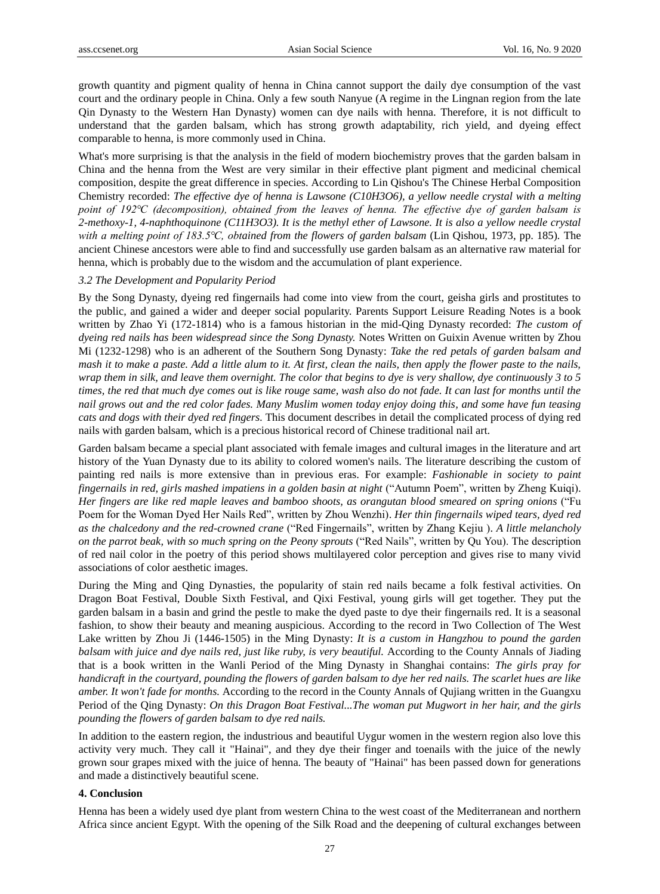growth quantity and pigment quality of henna in China cannot support the daily dye consumption of the vast court and the ordinary people in China. Only a few south Nanyue (A regime in the Lingnan region from the late Qin Dynasty to the Western Han Dynasty) women can dye nails with henna. Therefore, it is not difficult to understand that the garden balsam, which has strong growth adaptability, rich yield, and dyeing effect comparable to henna, is more commonly used in China.

What's more surprising is that the analysis in the field of modern biochemistry proves that the garden balsam in China and the henna from the West are very similar in their effective plant pigment and medicinal chemical composition, despite the great difference in species. According to Lin Qishou's The Chinese Herbal Composition Chemistry recorded: *The effective dye of henna is Lawsone (C10H3O6), a yellow needle crystal with a melting point of 192℃ (decomposition), obtained from the leaves of henna. The effective dye of garden balsam is 2-methoxy-1, 4-naphthoquinone (C11H3O3). It is the methyl ether of Lawsone. It is also a yellow needle crystal with a melting point of 183.5℃, obtained from the flowers of garden balsam* (Lin Qishou, 1973, pp. 185)*.* The ancient Chinese ancestors were able to find and successfully use garden balsam as an alternative raw material for henna, which is probably due to the wisdom and the accumulation of plant experience.

#### *3.2 The Development and Popularity Period*

By the Song Dynasty, dyeing red fingernails had come into view from the court, geisha girls and prostitutes to the public, and gained a wider and deeper social popularity. Parents Support Leisure Reading Notes is a book written by Zhao Yi (172-1814) who is a famous historian in the mid-Qing Dynasty recorded: *The custom of dyeing red nails has been widespread since the Song Dynasty.* Notes Written on Guixin Avenue written by Zhou Mi (1232-1298) who is an adherent of the Southern Song Dynasty: *Take the red petals of garden balsam and mash it to make a paste. Add a little alum to it. At first, clean the nails, then apply the flower paste to the nails, wrap them in silk, and leave them overnight. The color that begins to dye is very shallow, dye continuously 3 to 5 times, the red that much dye comes out is like rouge same, wash also do not fade. It can last for months until the nail grows out and the red color fades. Many Muslim women today enjoy doing this, and some have fun teasing cats and dogs with their dyed red fingers.* This document describes in detail the complicated process of dying red nails with garden balsam, which is a precious historical record of Chinese traditional nail art.

Garden balsam became a special plant associated with female images and cultural images in the literature and art history of the Yuan Dynasty due to its ability to colored women's nails. The literature describing the custom of painting red nails is more extensive than in previous eras. For example: *Fashionable in society to paint fingernails in red, girls mashed impatiens in a golden basin at night* ("Autumn Poem", written by Zheng Kuiqi). *Her fingers are like red maple leaves and bamboo shoots, as orangutan blood smeared on spring onions* ("Fu Poem for the Woman Dyed Her Nails Red", written by Zhou Wenzhi). *Her thin fingernails wiped tears, dyed red as the chalcedony and the red-crowned crane* ("Red Fingernails", written by Zhang Kejiu ). *A little melancholy on the parrot beak, with so much spring on the Peony sprouts* ("Red Nails", written by Qu You). The description of red nail color in the poetry of this period shows multilayered color perception and gives rise to many vivid associations of color aesthetic images.

During the Ming and Qing Dynasties, the popularity of stain red nails became a folk festival activities. On Dragon Boat Festival, Double Sixth Festival, and Qixi Festival, young girls will get together. They put the garden balsam in a basin and grind the pestle to make the dyed paste to dye their fingernails red. It is a seasonal fashion, to show their beauty and meaning auspicious. According to the record in Two Collection of The West Lake written by Zhou Ji (1446-1505) in the Ming Dynasty: *It is a custom in Hangzhou to pound the garden balsam with juice and dye nails red, just like ruby, is very beautiful.* According to the County Annals of Jiading that is a book written in the Wanli Period of the Ming Dynasty in Shanghai contains: *The girls pray for handicraft in the courtyard, pounding the flowers of garden balsam to dye her red nails. The scarlet hues are like amber. It won't fade for months.* According to the record in the County Annals of Qujiang written in the Guangxu Period of the Qing Dynasty: *On this Dragon Boat Festival...The woman put Mugwort in her hair, and the girls pounding the flowers of garden balsam to dye red nails.*

In addition to the eastern region, the industrious and beautiful Uygur women in the western region also love this activity very much. They call it "Hainai", and they dye their finger and toenails with the juice of the newly grown sour grapes mixed with the juice of henna. The beauty of "Hainai" has been passed down for generations and made a distinctively beautiful scene.

### **4. Conclusion**

Henna has been a widely used dye plant from western China to the west coast of the Mediterranean and northern Africa since ancient Egypt. With the opening of the Silk Road and the deepening of cultural exchanges between